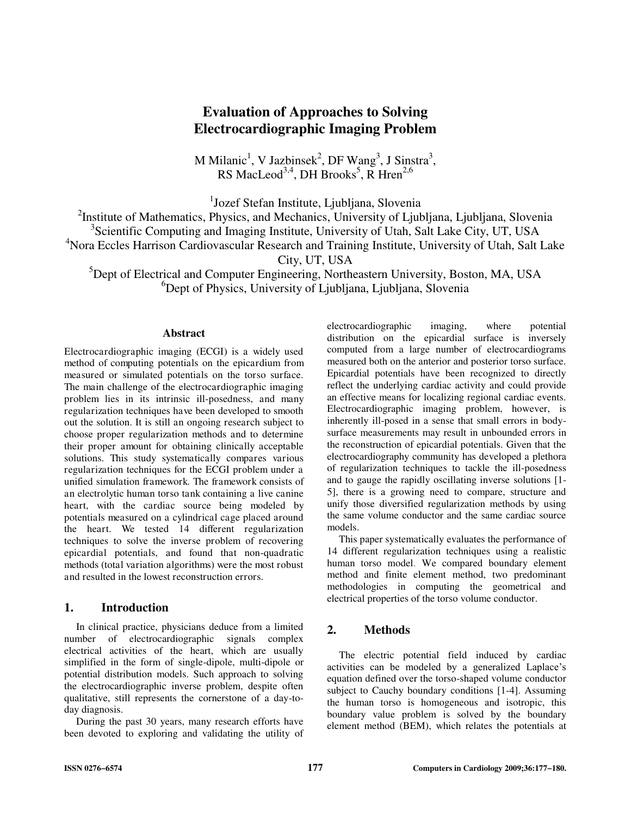# **Evaluation of Approaches to Solving Electrocardiographic Imaging Problem**

M Milanic<sup>1</sup>, V Jazbinsek<sup>2</sup>, DF Wang<sup>3</sup>, J Sinstra<sup>3</sup>, RS MacLeod<sup>3,4</sup>, DH Brooks<sup>5</sup>, R Hren<sup>2,6</sup>

<sup>1</sup>Jozef Stefan Institute, Ljubljana, Slovenia

<sup>2</sup>Institute of Mathematics, Physics, and Mechanics, University of Ljubljana, Ljubljana, Slovenia

<sup>3</sup>Scientific Computing and Imaging Institute, University of Utah, Salt Lake City, UT, USA

<sup>4</sup>Nora Eccles Harrison Cardiovascular Research and Training Institute, University of Utah, Salt Lake

City, UT, USA

<sup>5</sup>Dept of Electrical and Computer Engineering, Northeastern University, Boston, MA, USA <sup>6</sup>Dept of Physics, University of Ljubljana, Ljubljana, Slovenia

### **Abstract**

Electrocardiographic imaging (ECGI) is a widely used method of computing potentials on the epicardium from measured or simulated potentials on the torso surface. The main challenge of the electrocardiographic imaging problem lies in its intrinsic ill-posedness, and many regularization techniques have been developed to smooth out the solution. It is still an ongoing research subject to choose proper regularization methods and to determine their proper amount for obtaining clinically acceptable solutions. This study systematically compares various regularization techniques for the ECGI problem under a unified simulation framework. The framework consists of an electrolytic human torso tank containing a live canine heart, with the cardiac source being modeled by potentials measured on a cylindrical cage placed around the heart. We tested 14 different regularization techniques to solve the inverse problem of recovering epicardial potentials, and found that non-quadratic methods (total variation algorithms) were the most robust and resulted in the lowest reconstruction errors.

## **1. Introduction**

In clinical practice, physicians deduce from a limited number of electrocardiographic signals complex electrical activities of the heart, which are usually simplified in the form of single-dipole, multi-dipole or potential distribution models. Such approach to solving the electrocardiographic inverse problem, despite often qualitative, still represents the cornerstone of a day-today diagnosis.

During the past 30 years, many research efforts have been devoted to exploring and validating the utility of

electrocardiographic imaging, where potential distribution on the epicardial surface is inversely computed from a large number of electrocardiograms measured both on the anterior and posterior torso surface. Epicardial potentials have been recognized to directly reflect the underlying cardiac activity and could provide an effective means for localizing regional cardiac events. Electrocardiographic imaging problem, however, is inherently ill-posed in a sense that small errors in bodysurface measurements may result in unbounded errors in the reconstruction of epicardial potentials. Given that the electrocardiography community has developed a plethora of regularization techniques to tackle the ill-posedness and to gauge the rapidly oscillating inverse solutions [1- 5], there is a growing need to compare, structure and unify those diversified regularization methods by using the same volume conductor and the same cardiac source models.

This paper systematically evaluates the performance of 14 different regularization techniques using a realistic human torso model. We compared boundary element method and finite element method, two predominant methodologies in computing the geometrical and electrical properties of the torso volume conductor.

# **2. Methods**

The electric potential field induced by cardiac activities can be modeled by a generalized Laplace's equation defined over the torso-shaped volume conductor subject to Cauchy boundary conditions [1-4]. Assuming the human torso is homogeneous and isotropic, this boundary value problem is solved by the boundary element method (BEM), which relates the potentials at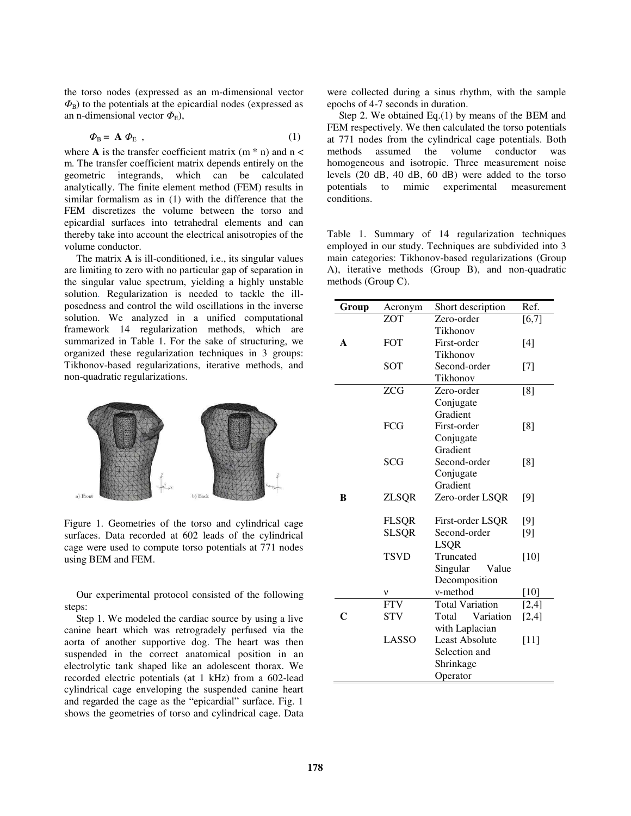the torso nodes (expressed as an m-dimensional vector  $\Phi_{\rm B}$ ) to the potentials at the epicardial nodes (expressed as an n-dimensional vector  $\Phi_{\rm E}$ ),

$$
\Phi_{\rm B} = A \; \Phi_{\rm E} \tag{1}
$$

where **A** is the transfer coefficient matrix  $(m * n)$  and  $n <$ m. The transfer coefficient matrix depends entirely on the geometric integrands, which can be calculated analytically. The finite element method (FEM) results in similar formalism as in (1) with the difference that the FEM discretizes the volume between the torso and epicardial surfaces into tetrahedral elements and can thereby take into account the electrical anisotropies of the volume conductor.

The matrix **A** is ill-conditioned, i.e., its singular values are limiting to zero with no particular gap of separation in the singular value spectrum, yielding a highly unstable solution. Regularization is needed to tackle the illposedness and control the wild oscillations in the inverse solution. We analyzed in a unified computational framework 14 regularization methods, which are summarized in Table 1. For the sake of structuring, we organized these regularization techniques in 3 groups: Tikhonov-based regularizations, iterative methods, and non-quadratic regularizations.



Figure 1. Geometries of the torso and cylindrical cage surfaces. Data recorded at 602 leads of the cylindrical cage were used to compute torso potentials at 771 nodes using BEM and FEM.

Our experimental protocol consisted of the following steps:

Step 1. We modeled the cardiac source by using a live canine heart which was retrogradely perfused via the aorta of another supportive dog. The heart was then suspended in the correct anatomical position in an electrolytic tank shaped like an adolescent thorax. We recorded electric potentials (at 1 kHz) from a 602-lead cylindrical cage enveloping the suspended canine heart and regarded the cage as the "epicardial" surface. Fig. 1 shows the geometries of torso and cylindrical cage. Data

were collected during a sinus rhythm, with the sample epochs of 4-7 seconds in duration.

Step 2. We obtained Eq.(1) by means of the BEM and FEM respectively. We then calculated the torso potentials at 771 nodes from the cylindrical cage potentials. Both methods assumed the volume conductor was homogeneous and isotropic. Three measurement noise levels (20 dB, 40 dB, 60 dB) were added to the torso potentials to mimic experimental measurement conditions.

Table 1. Summary of 14 regularization techniques employed in our study. Techniques are subdivided into 3 main categories: Tikhonov-based regularizations (Group A), iterative methods (Group B), and non-quadratic methods (Group C).

| Group | Acronym      | Short description      | Ref.   |
|-------|--------------|------------------------|--------|
|       | <b>ZOT</b>   | Zero-order             | [6, 7] |
|       |              | Tikhonov               |        |
| A     | <b>FOT</b>   | First-order            | $[4]$  |
|       |              | Tikhonov               |        |
|       | <b>SOT</b>   | Second-order           | $[7]$  |
|       |              | Tikhonov               |        |
|       | <b>ZCG</b>   | Zero-order             | [8]    |
|       |              | Conjugate              |        |
|       |              | Gradient               |        |
|       | <b>FCG</b>   | First-order            | [8]    |
|       |              | Conjugate              |        |
|       |              | Gradient               |        |
|       | <b>SCG</b>   | Second-order           | [8]    |
|       |              | Conjugate              |        |
|       |              | Gradient               |        |
| B     | <b>ZLSQR</b> | Zero-order LSQR        | [9]    |
|       |              |                        |        |
|       | <b>FLSQR</b> | First-order LSQR       | [9]    |
|       | <b>SLSQR</b> | Second-order           | $[9]$  |
|       |              | <b>LSQR</b>            |        |
|       | <b>TSVD</b>  | Truncated              | $[10]$ |
|       |              | Singular<br>Value      |        |
|       |              | Decomposition          |        |
|       |              | v-method               | $[10]$ |
|       | <b>FTV</b>   | <b>Total Variation</b> | [2,4]  |
| C     | <b>STV</b>   | Total<br>Variation     | [2,4]  |
|       |              | with Laplacian         |        |
|       | LASSO        | <b>Least Absolute</b>  | $[11]$ |
|       |              | Selection and          |        |
|       |              | Shrinkage              |        |
|       |              | Operator               |        |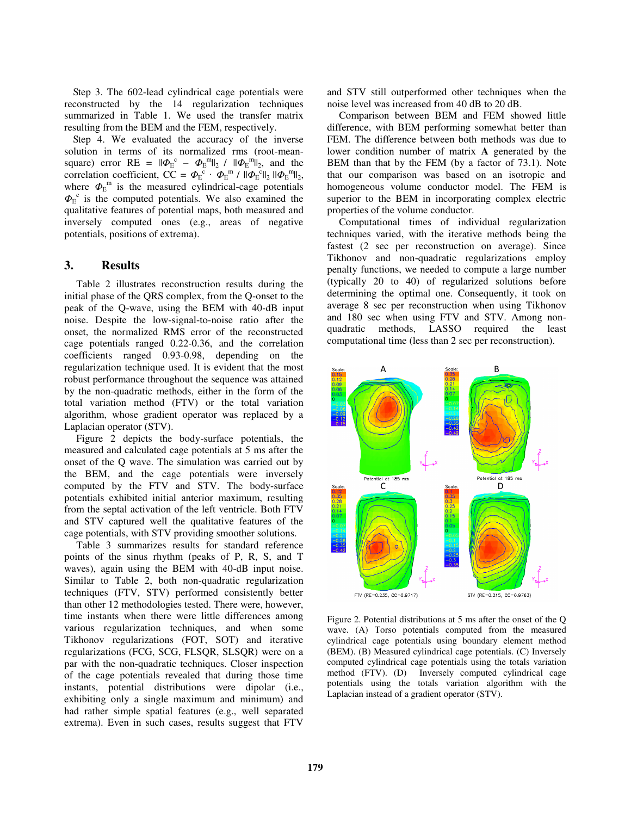Step 3. The 602-lead cylindrical cage potentials were reconstructed by the 14 regularization techniques summarized in Table 1. We used the transfer matrix resulting from the BEM and the FEM, respectively.

Step 4. We evaluated the accuracy of the inverse solution in terms of its normalized rms (root-meansquare) error RE =  $\|\phi_{E}^{\ c} - \phi_{E}^{\ m}\|_{2}$  /  $\|\phi_{E}^{\ m}\|_{2}$ , and the correlation coefficient,  $CC = \Phi_E^c \cdot \Phi_E^m / ||\Phi_E^c||_2 ||\Phi_E^m||_2$ , where  $\Phi_{\rm E}^{\rm m}$  is the measured cylindrical-cage potentials  $\Phi_{\rm E}^{c}$  is the computed potentials. We also examined the qualitative features of potential maps, both measured and inversely computed ones (e.g., areas of negative potentials, positions of extrema).

## **3. Results**

Table 2 illustrates reconstruction results during the initial phase of the QRS complex, from the Q-onset to the peak of the Q-wave, using the BEM with 40-dB input noise. Despite the low-signal-to-noise ratio after the onset, the normalized RMS error of the reconstructed cage potentials ranged 0.22-0.36, and the correlation coefficients ranged 0.93-0.98, depending on the regularization technique used. It is evident that the most robust performance throughout the sequence was attained by the non-quadratic methods, either in the form of the total variation method (FTV) or the total variation algorithm, whose gradient operator was replaced by a Laplacian operator (STV).

Figure 2 depicts the body-surface potentials, the measured and calculated cage potentials at 5 ms after the onset of the Q wave. The simulation was carried out by the BEM, and the cage potentials were inversely computed by the FTV and STV. The body-surface potentials exhibited initial anterior maximum, resulting from the septal activation of the left ventricle. Both FTV and STV captured well the qualitative features of the cage potentials, with STV providing smoother solutions.

Table 3 summarizes results for standard reference points of the sinus rhythm (peaks of P, R, S, and T waves), again using the BEM with 40-dB input noise. Similar to Table 2, both non-quadratic regularization techniques (FTV, STV) performed consistently better than other 12 methodologies tested. There were, however, time instants when there were little differences among various regularization techniques, and when some Tikhonov regularizations (FOT, SOT) and iterative regularizations (FCG, SCG, FLSQR, SLSQR) were on a par with the non-quadratic techniques. Closer inspection of the cage potentials revealed that during those time instants, potential distributions were dipolar (i.e., exhibiting only a single maximum and minimum) and had rather simple spatial features (e.g., well separated extrema). Even in such cases, results suggest that FTV

and STV still outperformed other techniques when the noise level was increased from 40 dB to 20 dB.

Comparison between BEM and FEM showed little difference, with BEM performing somewhat better than FEM. The difference between both methods was due to lower condition number of matrix **A** generated by the BEM than that by the FEM (by a factor of 73.1). Note that our comparison was based on an isotropic and homogeneous volume conductor model. The FEM is superior to the BEM in incorporating complex electric properties of the volume conductor.

Computational times of individual regularization techniques varied, with the iterative methods being the fastest (2 sec per reconstruction on average). Since Tikhonov and non-quadratic regularizations employ penalty functions, we needed to compute a large number (typically 20 to 40) of regularized solutions before determining the optimal one. Consequently, it took on average 8 sec per reconstruction when using Tikhonov and 180 sec when using FTV and STV. Among nonquadratic methods, LASSO required the least computational time (less than 2 sec per reconstruction).



Figure 2. Potential distributions at 5 ms after the onset of the Q wave. (A) Torso potentials computed from the measured cylindrical cage potentials using boundary element method (BEM). (B) Measured cylindrical cage potentials. (C) Inversely computed cylindrical cage potentials using the totals variation method (FTV). (D) Inversely computed cylindrical cage potentials using the totals variation algorithm with the Laplacian instead of a gradient operator (STV).